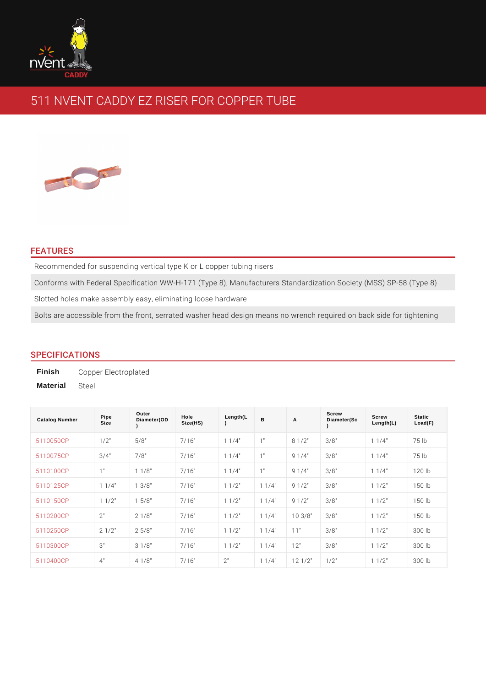# 511 NVENT CADDY EZ RISER FOR COPPER TUBE

#### FEATURES

Recommended for suspending vertical type K or L copper tubing risers Conforms with Federal Specification WW-H-171 (Type 8), Manufacturers Standar Slotted holes make assembly easy, eliminating loose hardware Bolts are accessible from the front, serrated washer head design means no wrer

## SPECIFICATIONS

Finish Copper Electroplated Material Steel

| Catalog Number | Pipe<br>Size | Outer<br>Diameter(OD      | Hole<br>Size(HS) | Length(L                | B                     | $\overline{A}$                                   | Screw<br>Diameter(Sc | Screw<br>Length(L)      | Static<br>Load(F)     |
|----------------|--------------|---------------------------|------------------|-------------------------|-----------------------|--------------------------------------------------|----------------------|-------------------------|-----------------------|
| 5110050CP      | $1/2$ "      | 5/8"                      | 7/16"            | $1/4$ "<br>$\mathbf{1}$ | 1"                    | $1/2$ "<br>8                                     | 3/8"                 | $1/4$ "<br>$\mathbf{1}$ | 75 lb                 |
| 5110075CP      | $3/4$ "      | 7/8"                      | 7/16"            | $1/4$ "<br>1            | 1"                    | $1/4$ "<br>9                                     | $3/8$ "              | $1/4$ "<br>1            | 75 lb                 |
| 5110100CP      | 1"           | $1/8$ "<br>1              | 7/16"            | $1/4$ "<br>$\mathbf{1}$ | 1"                    | 9<br>$1/4$ "                                     | $3/8$ "              | $1 \t1/4$ "             | $120$ lb              |
| 5110125CP      | $1 \t1/4$    | $3/8$ "<br>$\mathbf{1}$   | 7/16"            | $1/2$ "<br>$\mathbf{1}$ | 1/4<br>1              | $1/2$ "<br>9                                     | $3/8$ "              | $1/2$ "<br>1            | 150<br>$\mathsf{I}$ b |
| 5110150CP      | $1 \t1/2$ "  | 5/8"<br>$\mathbf{1}$      | 7/16"            | $1/2$ "<br>1            | 1/4<br>1              | $1/2$ "<br>9                                     | $3/8$ "              | $1 \t1/2$ "             | $150$ $1b$            |
| 5110200CP      | 2"           | $1/8$ "<br>$\mathcal{P}$  | 7/16"            | $1/2$ "<br>$\mathbf{1}$ | $1/4$ "<br>1          | 10                                               | $3/8$ " $3/8$ "      | $1/2$ "<br>1            | $150$ lb              |
| 5110250CP      | $2 \t1/2$ "  | 25/8"                     | 7/16"            | $1/2$ "<br>$\mathbf{1}$ | $1/4$ "<br>1          | 11"                                              | $3/8$ "              | $1 \t1/2$ "             | 300 lb                |
| 5110300CP      | 3"           | $1/8$ "<br>3              | 7/16"            | $1/2$ "<br>$\mathbf{1}$ | 1/4<br>1              | 12"                                              | $3/8$ "              | $1/2$ "<br>1            | 300 lb                |
| 5110400CP      | 4"           | $1/8$ "<br>$\overline{4}$ | 7/16"            | 2"                      | $1/4$ $^{\circ}$<br>1 | $12 \frac{1}{2}$ $1 \frac{2}{2}$ $1 \frac{1}{2}$ |                      | $1/2$ "<br>1            | 300<br>$\mathsf{I}$   |